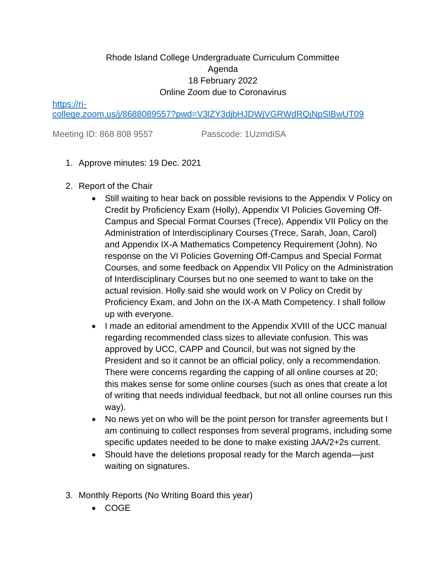## Rhode Island College Undergraduate Curriculum Committee Agenda 18 February 2022 Online Zoom due to Coronavirus

[https://ri-](https://ri-college.zoom.us/j/8688089557?pwd=V3lZY3djbHJDWjVGRWdRQjNpSlBwUT09)

[college.zoom.us/j/8688089557?pwd=V3lZY3djbHJDWjVGRWdRQjNpSlBwUT09](https://ri-college.zoom.us/j/8688089557?pwd=V3lZY3djbHJDWjVGRWdRQjNpSlBwUT09)

Meeting ID: 868 808 9557 Passcode: 1UzmdiSA

- 1. Approve minutes: 19 Dec. 2021
- 2. Report of the Chair
	- Still waiting to hear back on possible revisions to the Appendix V Policy on Credit by Proficiency Exam (Holly), Appendix VI Policies Governing Off-Campus and Special Format Courses (Trece), Appendix VII Policy on the Administration of Interdisciplinary Courses (Trece, Sarah, Joan, Carol) and Appendix IX-A Mathematics Competency Requirement (John). No response on the VI Policies Governing Off-Campus and Special Format Courses, and some feedback on Appendix VII Policy on the Administration of Interdisciplinary Courses but no one seemed to want to take on the actual revision. Holly said she would work on V Policy on Credit by Proficiency Exam, and John on the IX-A Math Competency. I shall follow up with everyone.
	- I made an editorial amendment to the Appendix XVIII of the UCC manual regarding recommended class sizes to alleviate confusion. This was approved by UCC, CAPP and Council, but was not signed by the President and so it cannot be an official policy, only a recommendation. There were concerns regarding the capping of all online courses at 20; this makes sense for some online courses (such as ones that create a lot of writing that needs individual feedback, but not all online courses run this way).
	- No news yet on who will be the point person for transfer agreements but I am continuing to collect responses from several programs, including some specific updates needed to be done to make existing JAA/2+2s current.
	- Should have the deletions proposal ready for the March agenda—just waiting on signatures.
- 3. Monthly Reports (No Writing Board this year)
	- COGE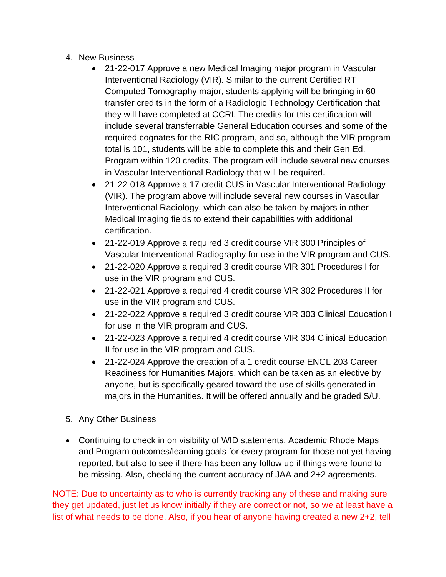- 4. New Business
	- 21-22-017 Approve a new Medical Imaging major program in Vascular Interventional Radiology (VIR). Similar to the current Certified RT Computed Tomography major, students applying will be bringing in 60 transfer credits in the form of a Radiologic Technology Certification that they will have completed at CCRI. The credits for this certification will include several transferrable General Education courses and some of the required cognates for the RIC program, and so, although the VIR program total is 101, students will be able to complete this and their Gen Ed. Program within 120 credits. The program will include several new courses in Vascular Interventional Radiology that will be required.
	- 21-22-018 Approve a 17 credit CUS in Vascular Interventional Radiology (VIR). The program above will include several new courses in Vascular Interventional Radiology, which can also be taken by majors in other Medical Imaging fields to extend their capabilities with additional certification.
	- 21-22-019 Approve a required 3 credit course VIR 300 Principles of Vascular Interventional Radiography for use in the VIR program and CUS.
	- 21-22-020 Approve a required 3 credit course VIR 301 Procedures I for use in the VIR program and CUS.
	- 21-22-021 Approve a required 4 credit course VIR 302 Procedures II for use in the VIR program and CUS.
	- 21-22-022 Approve a required 3 credit course VIR 303 Clinical Education I for use in the VIR program and CUS.
	- 21-22-023 Approve a required 4 credit course VIR 304 Clinical Education II for use in the VIR program and CUS.
	- 21-22-024 Approve the creation of a 1 credit course ENGL 203 Career Readiness for Humanities Majors, which can be taken as an elective by anyone, but is specifically geared toward the use of skills generated in majors in the Humanities. It will be offered annually and be graded S/U.
- 5. Any Other Business
- Continuing to check in on visibility of WID statements, Academic Rhode Maps and Program outcomes/learning goals for every program for those not yet having reported, but also to see if there has been any follow up if things were found to be missing. Also, checking the current accuracy of JAA and 2+2 agreements.

NOTE: Due to uncertainty as to who is currently tracking any of these and making sure they get updated, just let us know initially if they are correct or not, so we at least have a list of what needs to be done. Also, if you hear of anyone having created a new 2+2, tell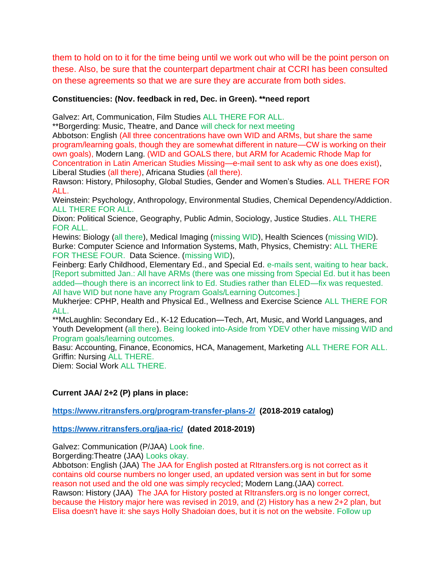them to hold on to it for the time being until we work out who will be the point person on these. Also, be sure that the counterpart department chair at CCRI has been consulted on these agreements so that we are sure they are accurate from both sides.

## **Constituencies: (Nov. feedback in red, Dec. in Green). \*\*need report**

Galvez: Art, Communication, Film Studies ALL THERE FOR ALL.

\*\*Borgerding: Music, Theatre, and Dance will check for next meeting

Abbotson: English (All three concentrations have own WID and ARMs, but share the same program/learning goals, though they are somewhat different in nature—CW is working on their own goals), Modern Lang. (WID and GOALS there, but ARM for Academic Rhode Map for Concentration in Latin American Studies Missing—e-mail sent to ask why as one does exist), Liberal Studies (all there), Africana Studies (all there).

Rawson: History, Philosophy, Global Studies, Gender and Women's Studies. ALL THERE FOR ALL.

Weinstein: Psychology, Anthropology, Environmental Studies, Chemical Dependency/Addiction. ALL THERE FOR ALL.

Dixon: Political Science, Geography, Public Admin, Sociology, Justice Studies. ALL THERE FOR ALL.

Hewins: Biology (all there), Medical Imaging (missing WID), Health Sciences (missing WID). Burke: Computer Science and Information Systems, Math, Physics, Chemistry: ALL THERE FOR THESE FOUR. Data Science. (missing WID),

Feinberg: Early Childhood, Elementary Ed., and Special Ed. e-mails sent, waiting to hear back. [Report submitted Jan.: All have ARMs (there was one missing from Special Ed. but it has been added—though there is an incorrect link to Ed. Studies rather than ELED—fix was requested. All have WID but none have any Program Goals/Learning Outcomes.]

Mukherjee: CPHP, Health and Physical Ed., Wellness and Exercise Science ALL THERE FOR ALL.

\*\*McLaughlin: Secondary Ed., K-12 Education—Tech, Art, Music, and World Languages, and Youth Development (all there). Being looked into-Aside from YDEV other have missing WID and Program goals/learning outcomes.

Basu: Accounting, Finance, Economics, HCA, Management, Marketing ALL THERE FOR ALL. Griffin: Nursing ALL THERE.

Diem: Social Work ALL THERE.

## **Current JAA/ 2+2 (P) plans in place:**

**<https://www.ritransfers.org/program-transfer-plans-2/>(2018-2019 catalog)**

## **<https://www.ritransfers.org/jaa-ric/>(dated 2018-2019)**

Galvez: Communication (P/JAA) Look fine.

Borgerding:Theatre (JAA) Looks okay.

Abbotson: English (JAA) The JAA for English posted at RItransfers.org is not correct as it contains old course numbers no longer used, an updated version was sent in but for some reason not used and the old one was simply recycled; Modern Lang.(JAA) correct. Rawson: History (JAA) The JAA for History posted at RItransfers.org is no longer correct, because the History major here was revised in 2019, and (2) History has a new 2+2 plan, but Elisa doesn't have it: she says Holly Shadoian does, but it is not on the website. Follow up